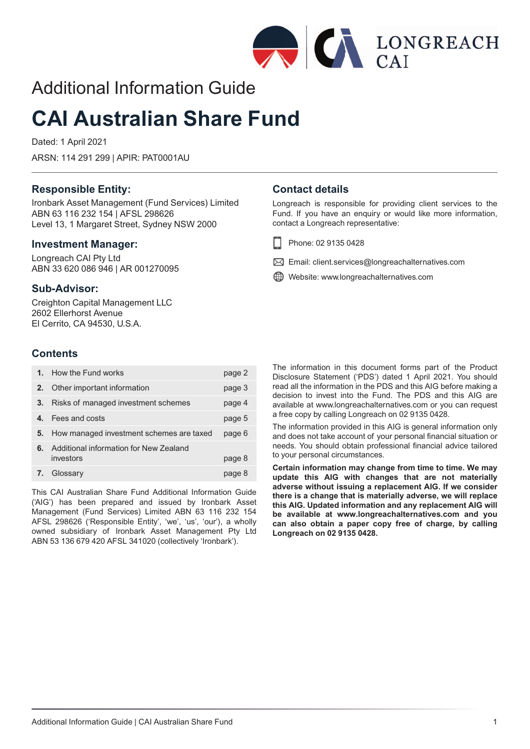

# Additional Information Guide

# **CAI Australian Share Fund**

Dated: 1 April 2021

ARSN: 114 291 299 | APIR: PAT0001AU

### **Responsible Entity:**

Ironbark Asset Management (Fund Services) Limited ABN 63 116 232 154 | AFSL 298626 Level 13, 1 Margaret Street, Sydney NSW 2000

### **Investment Manager:**

Longreach CAI Pty Ltd ABN 33 620 086 946 | AR 001270095

### **Sub-Advisor:**

Creighton Capital Management LLC 2602 Ellerhorst Avenue El Cerrito, CA 94530, U.S.A.

### **Contents**

|    | How the Fund works                                  | page 2 |
|----|-----------------------------------------------------|--------|
| 2. | Other important information                         | page 3 |
| 3. | Risks of managed investment schemes                 | page 4 |
|    | Fees and costs                                      | page 5 |
| 5. | How managed investment schemes are taxed            | page 6 |
| 6. | Additional information for New Zealand<br>investors | page 8 |
|    | Glossary                                            | page 8 |

This CAI Australian Share Fund Additional Information Guide ('AIG') has been prepared and issued by Ironbark Asset Management (Fund Services) Limited ABN 63 116 232 154 AFSL 298626 ('Responsible Entity', 'we', 'us', 'our'), a wholly owned subsidiary of Ironbark Asset Management Pty Ltd ABN 53 136 679 420 AFSL 341020 (collectively 'Ironbark').

### **Contact details**

Longreach is responsible for providing client services to the Fund. If you have an enquiry or would like more information, contact a Longreach representative:

- Phone: 02 9135 0428 H
- $\boxtimes$  Email: client.services@longreachalternatives.com
- Website: www.longreachalternatives.com

The information in this document forms part of the Product Disclosure Statement ('PDS') dated 1 April 2021. You should read all the information in the PDS and this AIG before making a decision to invest into the Fund. The PDS and this AIG are available at www.longreachalternatives.com or you can request a free copy by calling Longreach on 02 9135 0428.

The information provided in this AIG is general information only and does not take account of your personal financial situation or needs. You should obtain professional financial advice tailored to your personal circumstances.

**Certain information may change from time to time. We may update this AIG with changes that are not materially adverse without issuing a replacement AIG. If we consider there is a change that is materially adverse, we will replace this AIG. Updated information and any replacement AIG will be available at www.longreachalternatives.com and you can also obtain a paper copy free of charge, by calling Longreach on 02 9135 0428.**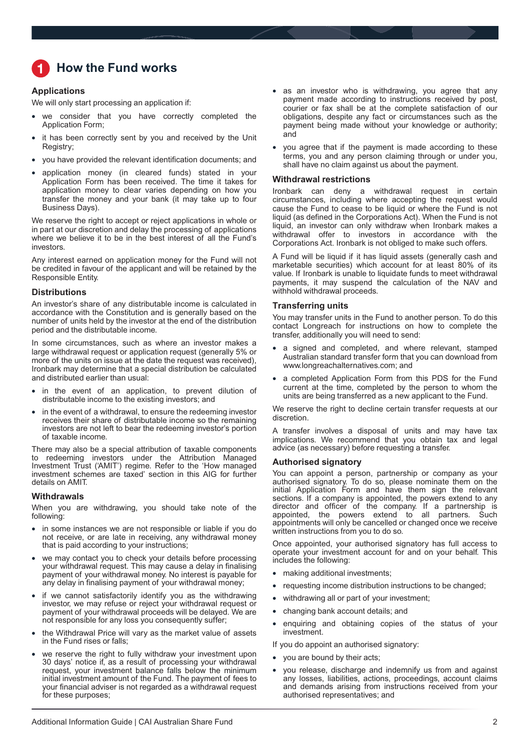# <span id="page-1-0"></span>**How the Fund works**

### **Applications**

We will only start processing an application if:

- we consider that you have correctly completed the Application Form;
- it has been correctly sent by you and received by the Unit Registry;
- you have provided the relevant identification documents; and
- application money (in cleared funds) stated in your Application Form has been received. The time it takes for application money to clear varies depending on how you transfer the money and your bank (it may take up to four Business Days).

We reserve the right to accept or reject applications in whole or in part at our discretion and delay the processing of applications where we believe it to be in the best interest of all the Fund's investors.

Any interest earned on application money for the Fund will not be credited in favour of the applicant and will be retained by the Responsible Entity.

### **Distributions**

An investor's share of any distributable income is calculated in accordance with the Constitution and is generally based on the number of units held by the investor at the end of the distribution period and the distributable income.

In some circumstances, such as where an investor makes a large withdrawal request or application request (generally 5% or more of the units on issue at the date the request was received), Ironbark may determine that a special distribution be calculated and distributed earlier than usual:

- in the event of an application, to prevent dilution of distributable income to the existing investors; and
- in the event of a withdrawal, to ensure the redeeming investor receives their share of distributable income so the remaining investors are not left to bear the redeeming investor's portion of taxable income.

There may also be a special attribution of taxable components to redeeming investors under the Attribution Managed Investment Trust ('AMIT') regime. Refer to the 'How managed investment schemes are taxed' section in this AIG for further details on AMIT.

### **Withdrawals**

When you are withdrawing, you should take note of the following:

- in some instances we are not responsible or liable if you do not receive, or are late in receiving, any withdrawal money that is paid according to your instructions;
- we may contact you to check your details before processing your withdrawal request. This may cause a delay in finalising payment of your withdrawal money. No interest is payable for any delay in finalising payment of your withdrawal money;
- if we cannot satisfactorily identify you as the withdrawing investor, we may refuse or reject your withdrawal request or payment of your withdrawal proceeds will be delayed. We are not responsible for any loss you consequently suffer;
- the Withdrawal Price will vary as the market value of assets in the Fund rises or falls;
- we reserve the right to fully withdraw your investment upon 30 days' notice if, as a result of processing your withdrawal request, your investment balance falls below the minimum initial investment amount of the Fund. The payment of fees to your financial adviser is not regarded as a withdrawal request for these purposes;
- as an investor who is withdrawing, you agree that any payment made according to instructions received by post, courier or fax shall be at the complete satisfaction of our obligations, despite any fact or circumstances such as the payment being made without your knowledge or authority; and
- you agree that if the payment is made according to these terms, you and any person claiming through or under you, shall have no claim against us about the payment.

### **Withdrawal restrictions**

Ironbark can deny a withdrawal request in certain circumstances, including where accepting the request would cause the Fund to cease to be liquid or where the Fund is not liquid (as defined in the Corporations Act). When the Fund is not liquid, an investor can only withdraw when Ironbark makes a withdrawal offer to investors in accordance with the Corporations Act. Ironbark is not obliged to make such offers.

A Fund will be liquid if it has liquid assets (generally cash and marketable securities) which account for at least 80% of its value. If Ironbark is unable to liquidate funds to meet withdrawal payments, it may suspend the calculation of the NAV and withhold withdrawal proceeds.

### **Transferring units**

You may transfer units in the Fund to another person. To do this contact Longreach for instructions on how to complete the transfer, additionally you will need to send:

- a signed and completed, and where relevant, stamped Australian standard transfer form that you can download from www.longreachalternatives.com; and
- a completed Application Form from this PDS for the Fund current at the time, completed by the person to whom the units are being transferred as a new applicant to the Fund.

We reserve the right to decline certain transfer requests at our discretion.

A transfer involves a disposal of units and may have tax implications. We recommend that you obtain tax and legal advice (as necessary) before requesting a transfer.

### **Authorised signatory**

You can appoint a person, partnership or company as your authorised signatory. To do so, please nominate them on the initial Application Form and have them sign the relevant sections. If a company is appointed, the powers extend to any director and officer of the company. If a partnership is appointed, the powers extend to all partners. Such appointments will only be cancelled or changed once we receive written instructions from you to do so.

Once appointed, your authorised signatory has full access to operate your investment account for and on your behalf. This includes the following:

- making additional investments;
- requesting income distribution instructions to be changed;
- withdrawing all or part of your investment;
- changing bank account details; and
- enquiring and obtaining copies of the status of your investment.

If you do appoint an authorised signatory:

- you are bound by their acts;
- you release, discharge and indemnify us from and against any losses, liabilities, actions, proceedings, account claims and demands arising from instructions received from your authorised representatives; and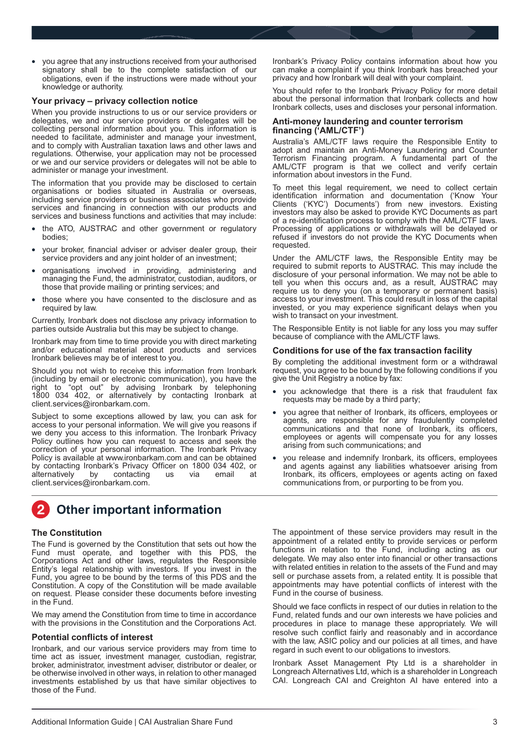<span id="page-2-0"></span>• you agree that any instructions received from your authorised signatory shall be to the complete satisfaction of our obligations, even if the instructions were made without your knowledge or authority.

### **Your privacy – privacy collection notice**

When you provide instructions to us or our service providers or delegates, we and our service providers or delegates will be collecting personal information about you. This information is needed to facilitate, administer and manage your investment, and to comply with Australian taxation laws and other laws and regulations. Otherwise, your application may not be processed or we and our service providers or delegates will not be able to administer or manage your investment.

The information that you provide may be disclosed to certain organisations or bodies situated in Australia or overseas, including service providers or business associates who provide services and financing in connection with our products and services and business functions and activities that may include:

- the ATO, AUSTRAC and other government or regulatory bodies;
- your broker, financial adviser or adviser dealer group, their service providers and any joint holder of an investment;
- organisations involved in providing, administering and managing the Fund, the administrator, custodian, auditors, or those that provide mailing or printing services; and
- those where you have consented to the disclosure and as required by law.

Currently, Ironbark does not disclose any privacy information to parties outside Australia but this may be subject to change.

Ironbark may from time to time provide you with direct marketing and/or educational material about products and services Ironbark believes may be of interest to you.

Should you not wish to receive this information from Ironbark (including by email or electronic communication), you have the right to "opt out" by advising Ironbark by telephoning 1800 034 402, or alternatively by contacting Ironbark at client.services@ironbarkam.com.

Subject to some exceptions allowed by law, you can ask for access to your personal information. We will give you reasons if we deny you access to this information. The Ironbark Privacy Policy outlines how you can request to access and seek the correction of your personal information. The Ironbark Privacy Policy is available at www.ironbarkam.com and can be obtained by contacting Ironbark's Privacy Officer on 1800 034 402, or<br>alternatively by contacting us via email at alternatively client.services@ironbarkam.com.

# **Other important information**

### **The Constitution**

The Fund is governed by the Constitution that sets out how the Fund must operate, and together with this PDS, the Corporations Act and other laws, regulates the Responsible Entity's legal relationship with investors. If you invest in the Fund, you agree to be bound by the terms of this PDS and the Constitution. A copy of the Constitution will be made available on request. Please consider these documents before investing in the Fund.

We may amend the Constitution from time to time in accordance with the provisions in the Constitution and the Corporations Act.

### **Potential conflicts of interest**

Ironbark, and our various service providers may from time to time act as issuer, investment manager, custodian, registrar, broker, administrator, investment adviser, distributor or dealer, or be otherwise involved in other ways, in relation to other managed investments established by us that have similar objectives to those of the Fund.

Ironbark's Privacy Policy contains information about how you can make a complaint if you think Ironbark has breached your privacy and how Ironbark will deal with your complaint.

You should refer to the Ironbark Privacy Policy for more detail about the personal information that Ironbark collects and how Ironbark collects, uses and discloses your personal information.

### **Anti-money laundering and counter terrorism financing ('AML/CTF')**

Australia's AML/CTF laws require the Responsible Entity to adopt and maintain an Anti-Money Laundering and Counter Terrorism Financing program. A fundamental part of the AML/CTF program is that we collect and verify certain information about investors in the Fund.

To meet this legal requirement, we need to collect certain identification information and documentation ('Know Your Clients ('KYC') Documents') from new investors. Existing investors may also be asked to provide KYC Documents as part of a re-identification process to comply with the AML/CTF laws. Processing of applications or withdrawals will be delayed or refused if investors do not provide the KYC Documents when requested.

Under the AML/CTF laws, the Responsible Entity may be required to submit reports to AUSTRAC. This may include the disclosure of your personal information. We may not be able to tell you when this occurs and, as a result, AUSTRAC may require us to deny you (on a temporary or permanent basis) access to your investment. This could result in loss of the capital invested, or you may experience significant delays when you wish to transact on your investment.

The Responsible Entity is not liable for any loss you may suffer because of compliance with the AML/CTF laws.

### **Conditions for use of the fax transaction facility**

By completing the additional investment form or a withdrawal request, you agree to be bound by the following conditions if you give the Unit Registry a notice by fax:

- you acknowledge that there is a risk that fraudulent fax requests may be made by a third party;
- you agree that neither of Ironbark, its officers, employees or agents, are responsible for any fraudulently completed communications and that none of Ironbark, its officers, employees or agents will compensate you for any losses arising from such communications; and
- you release and indemnify Ironbark, its officers, employees and agents against any liabilities whatsoever arising from Ironbark, its officers, employees or agents acting on faxed communications from, or purporting to be from you.

The appointment of these service providers may result in the appointment of a related entity to provide services or perform functions in relation to the Fund, including acting as our delegate. We may also enter into financial or other transactions with related entities in relation to the assets of the Fund and may sell or purchase assets from, a related entity. It is possible that appointments may have potential conflicts of interest with the Fund in the course of business.

Should we face conflicts in respect of our duties in relation to the Fund, related funds and our own interests we have policies and procedures in place to manage these appropriately. We will resolve such conflict fairly and reasonably and in accordance with the law, ASIC policy and our policies at all times, and have regard in such event to our obligations to investors.

Ironbark Asset Management Pty Ltd is a shareholder in Longreach Alternatives Ltd, which is a shareholder in Longreach CAI. Longreach CAI and Creighton AI have entered into a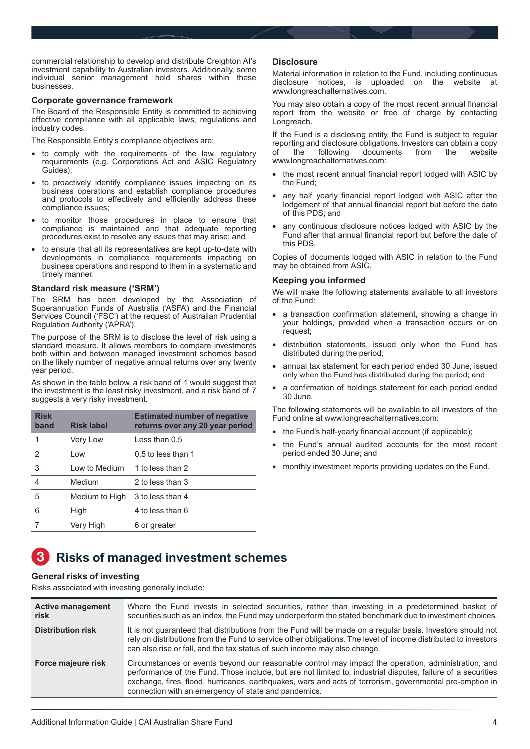<span id="page-3-0"></span>commercial relationship to develop and distribute Creighton AI's investment capability to Australian investors. Additionally, some individual senior management hold shares within these businesses.

### **Corporate governance framework**

The Board of the Responsible Entity is committed to achieving effective compliance with all applicable laws, regulations and industry codes.

The Responsible Entity's compliance objectives are:

- to comply with the requirements of the law, regulatory requirements (e.g. Corporations Act and ASIC Regulatory Guides);
- to proactively identify compliance issues impacting on its business operations and establish compliance procedures and protocols to effectively and efficiently address these compliance issues;
- to monitor those procedures in place to ensure that compliance is maintained and that adequate reporting procedures exist to resolve any issues that may arise; and
- to ensure that all its representatives are kept up-to-date with developments in compliance requirements impacting on business operations and respond to them in a systematic and timely manner.

### **Standard risk measure ('SRM')**

The SRM has been developed by the Association of Superannuation Funds of Australia ('ASFA') and the Financial Services Council ('FSC') at the request of Australian Prudential Regulation Authority ('APRA').

The purpose of the SRM is to disclose the level of risk using a standard measure. It allows members to compare investments both within and between managed investment schemes based on the likely number of negative annual returns over any twenty year period.

As shown in the table below, a risk band of 1 would suggest that the investment is the least risky investment, and a risk band of 7 suggests a very risky investment.

| <b>Risk</b><br>band | <b>Risk label</b> | <b>Estimated number of negative</b><br>returns over any 20 year period |
|---------------------|-------------------|------------------------------------------------------------------------|
| 1                   | Very Low          | Less than $0.5$                                                        |
| 2                   | Low               | $0.5$ to less than 1                                                   |
| 3                   | Low to Medium     | 1 to less than 2                                                       |
| 4                   | Medium            | 2 to less than 3                                                       |
| 5                   | Medium to High    | 3 to less than 4                                                       |
| 6                   | High              | 4 to less than 6                                                       |
|                     | Very High         | 6 or greater                                                           |
|                     |                   |                                                                        |

### **Disclosure**

Material information in relation to the Fund, including continuous disclosure notices, is uploaded on the website www.longreachalternatives.com.

You may also obtain a copy of the most recent annual financial report from the website or free of charge by contacting Longreach.

If the Fund is a disclosing entity, the Fund is subject to regular reporting and disclosure obligations. Investors can obtain a copy<br>of the following documents from the website documents www.longreachalternatives.com:

- the most recent annual financial report lodged with ASIC by the Fund;
- any half yearly financial report lodged with ASIC after the lodgement of that annual financial report but before the date of this PDS; and
- any continuous disclosure notices lodged with ASIC by the Fund after that annual financial report but before the date of this PDS.

Copies of documents lodged with ASIC in relation to the Fund may be obtained from ASIC.

### **Keeping you informed**

We will make the following statements available to all investors of the Fund:

- a transaction confirmation statement, showing a change in your holdings, provided when a transaction occurs or on request;
- distribution statements, issued only when the Fund has distributed during the period;
- annual tax statement for each period ended 30 June, issued only when the Fund has distributed during the period; and
- a confirmation of holdings statement for each period ended 30 June.

The following statements will be available to all investors of the Fund online at www.longreachalternatives.com:

- the Fund's half-yearly financial account (if applicable);
- the Fund's annual audited accounts for the most recent period ended 30 June; and
- monthly investment reports providing updates on the Fund.

# **Risks of managed investment schemes**

### **General risks of investing**

Risks associated with investing generally include:

| <b>Active management</b><br>risk | Where the Fund invests in selected securities, rather than investing in a predetermined basket of<br>securities such as an index, the Fund may underperform the stated benchmark due to investment choices.                                                                                                                                                                             |
|----------------------------------|-----------------------------------------------------------------------------------------------------------------------------------------------------------------------------------------------------------------------------------------------------------------------------------------------------------------------------------------------------------------------------------------|
| <b>Distribution risk</b>         | It is not guaranteed that distributions from the Fund will be made on a regular basis. Investors should not<br>rely on distributions from the Fund to service other obligations. The level of income distributed to investors<br>can also rise or fall, and the tax status of such income may also change.                                                                              |
| Force majeure risk               | Circumstances or events beyond our reasonable control may impact the operation, administration, and<br>performance of the Fund. Those include, but are not limited to, industrial disputes, failure of a securities<br>exchange, fires, flood, hurricanes, earthquakes, wars and acts of terrorism, governmental pre-emption in<br>connection with an emergency of state and pandemics. |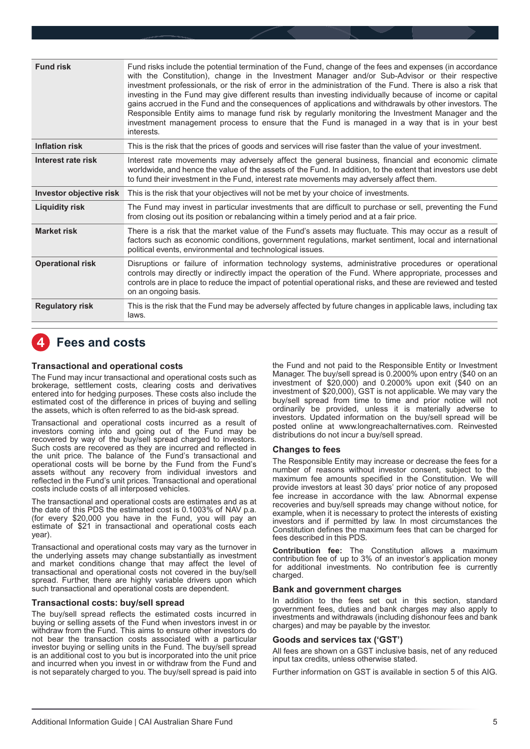<span id="page-4-0"></span>

| <b>Fund risk</b>        | Fund risks include the potential termination of the Fund, change of the fees and expenses (in accordance<br>with the Constitution), change in the Investment Manager and/or Sub-Advisor or their respective<br>investment professionals, or the risk of error in the administration of the Fund. There is also a risk that<br>investing in the Fund may give different results than investing individually because of income or capital<br>gains accrued in the Fund and the consequences of applications and withdrawals by other investors. The<br>Responsible Entity aims to manage fund risk by regularly monitoring the Investment Manager and the<br>investment management process to ensure that the Fund is managed in a way that is in your best<br>interests. |
|-------------------------|-------------------------------------------------------------------------------------------------------------------------------------------------------------------------------------------------------------------------------------------------------------------------------------------------------------------------------------------------------------------------------------------------------------------------------------------------------------------------------------------------------------------------------------------------------------------------------------------------------------------------------------------------------------------------------------------------------------------------------------------------------------------------|
| <b>Inflation risk</b>   | This is the risk that the prices of goods and services will rise faster than the value of your investment.                                                                                                                                                                                                                                                                                                                                                                                                                                                                                                                                                                                                                                                              |
| Interest rate risk      | Interest rate movements may adversely affect the general business, financial and economic climate<br>worldwide, and hence the value of the assets of the Fund. In addition, to the extent that investors use debt<br>to fund their investment in the Fund, interest rate movements may adversely affect them.                                                                                                                                                                                                                                                                                                                                                                                                                                                           |
| Investor objective risk | This is the risk that your objectives will not be met by your choice of investments.                                                                                                                                                                                                                                                                                                                                                                                                                                                                                                                                                                                                                                                                                    |
| <b>Liquidity risk</b>   | The Fund may invest in particular investments that are difficult to purchase or sell, preventing the Fund<br>from closing out its position or rebalancing within a timely period and at a fair price.                                                                                                                                                                                                                                                                                                                                                                                                                                                                                                                                                                   |
| <b>Market risk</b>      | There is a risk that the market value of the Fund's assets may fluctuate. This may occur as a result of<br>factors such as economic conditions, government regulations, market sentiment, local and international<br>political events, environmental and technological issues.                                                                                                                                                                                                                                                                                                                                                                                                                                                                                          |
| <b>Operational risk</b> | Disruptions or failure of information technology systems, administrative procedures or operational<br>controls may directly or indirectly impact the operation of the Fund. Where appropriate, processes and<br>controls are in place to reduce the impact of potential operational risks, and these are reviewed and tested<br>on an ongoing basis.                                                                                                                                                                                                                                                                                                                                                                                                                    |
| <b>Regulatory risk</b>  | This is the risk that the Fund may be adversely affected by future changes in applicable laws, including tax<br>laws.                                                                                                                                                                                                                                                                                                                                                                                                                                                                                                                                                                                                                                                   |

### **Fees and costs**

### **Transactional and operational costs**

The Fund may incur transactional and operational costs such as brokerage, settlement costs, clearing costs and derivatives entered into for hedging purposes. These costs also include the estimated cost of the difference in prices of buying and selling the assets, which is often referred to as the bid-ask spread.

Transactional and operational costs incurred as a result of investors coming into and going out of the Fund may be recovered by way of the buy/sell spread charged to investors. Such costs are recovered as they are incurred and reflected in the unit price. The balance of the Fund's transactional and operational costs will be borne by the Fund from the Fund's assets without any recovery from individual investors and reflected in the Fund's unit prices. Transactional and operational costs include costs of all interposed vehicles.

The transactional and operational costs are estimates and as at the date of this PDS the estimated cost is 0.1003% of NAV p.a. (for every \$20,000 you have in the Fund, you will pay an estimate of \$21 in transactional and operational costs each year).

Transactional and operational costs may vary as the turnover in the underlying assets may change substantially as investment and market conditions change that may affect the level of transactional and operational costs not covered in the buy/sell spread. Further, there are highly variable drivers upon which such transactional and operational costs are dependent.

### **Transactional costs: buy/sell spread**

The buy/sell spread reflects the estimated costs incurred in buying or selling assets of the Fund when investors invest in or withdraw from the Fund. This aims to ensure other investors do not bear the transaction costs associated with a particular investor buying or selling units in the Fund. The buy/sell spread is an additional cost to you but is incorporated into the unit price and incurred when you invest in or withdraw from the Fund and is not separately charged to you. The buy/sell spread is paid into

the Fund and not paid to the Responsible Entity or Investment Manager. The buy/sell spread is 0.2000% upon entry (\$40 on an investment of \$20,000) and 0.2000% upon exit (\$40 on an investment of \$20,000), GST is not applicable. We may vary the buy/sell spread from time to time and prior notice will not ordinarily be provided, unless it is materially adverse to investors. Updated information on the buy/sell spread will be posted online at www.longreachalternatives.com. Reinvested distributions do not incur a buy/sell spread.

#### **Changes to fees**

The Responsible Entity may increase or decrease the fees for a number of reasons without investor consent, subject to the maximum fee amounts specified in the Constitution. We will provide investors at least 30 days' prior notice of any proposed fee increase in accordance with the law. Abnormal expense recoveries and buy/sell spreads may change without notice, for example, when it is necessary to protect the interests of existing investors and if permitted by law. In most circumstances the Constitution defines the maximum fees that can be charged for fees described in this PDS.

**Contribution fee:** The Constitution allows a maximum contribution fee of up to 3% of an investor's application money for additional investments. No contribution fee is currently charged.

#### **Bank and government charges**

In addition to the fees set out in this section, standard government fees, duties and bank charges may also apply to investments and withdrawals (including dishonour fees and bank charges) and may be payable by the investor.

#### **Goods and services tax ('GST')**

All fees are shown on a GST inclusive basis, net of any reduced input tax credits, unless otherwise stated.

Further information on GST is available in section 5 of this AIG.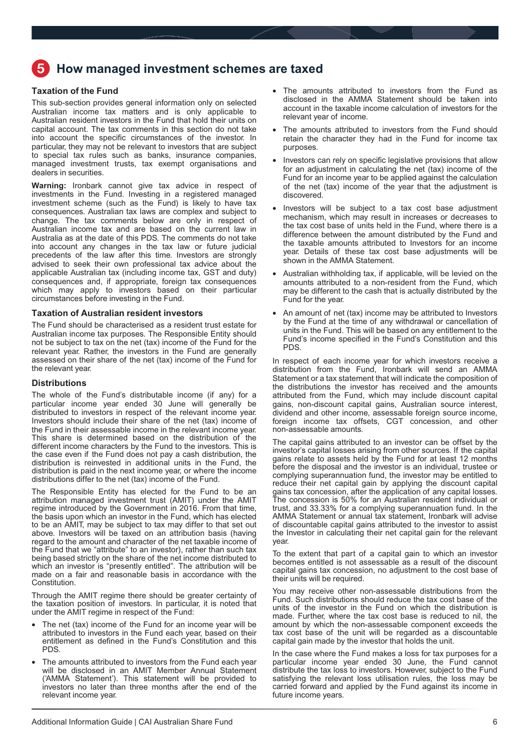# <span id="page-5-0"></span>**How managed investment schemes are taxed**

### **Taxation of the Fund**

This sub-section provides general information only on selected Australian income tax matters and is only applicable to Australian resident investors in the Fund that hold their units on capital account. The tax comments in this section do not take into account the specific circumstances of the investor. In particular, they may not be relevant to investors that are subject to special tax rules such as banks, insurance companies, managed investment trusts, tax exempt organisations and dealers in securities.

**Warning:** Ironbark cannot give tax advice in respect of investments in the Fund. Investing in a registered managed investment scheme (such as the Fund) is likely to have tax consequences. Australian tax laws are complex and subject to change. The tax comments below are only in respect of Australian income tax and are based on the current law in Australia as at the date of this PDS. The comments do not take into account any changes in the tax law or future judicial precedents of the law after this time. Investors are strongly advised to seek their own professional tax advice about the applicable Australian tax (including income tax, GST and duty) consequences and, if appropriate, foreign tax consequences which may apply to investors based on their particular circumstances before investing in the Fund.

### **Taxation of Australian resident investors**

The Fund should be characterised as a resident trust estate for Australian income tax purposes. The Responsible Entity should not be subject to tax on the net (tax) income of the Fund for the relevant year. Rather, the investors in the Fund are generally assessed on their share of the net (tax) income of the Fund for the relevant year.

### **Distributions**

The whole of the Fund's distributable income (if any) for a particular income year ended 30 June will generally be distributed to investors in respect of the relevant income year. Investors should include their share of the net (tax) income of the Fund in their assessable income in the relevant income year. This share is determined based on the distribution of the different income characters by the Fund to the investors. This is the case even if the Fund does not pay a cash distribution, the distribution is reinvested in additional units in the Fund, the distribution is paid in the next income year, or where the income distributions differ to the net (tax) income of the Fund.

The Responsible Entity has elected for the Fund to be an attribution managed investment trust (AMIT) under the AMIT regime introduced by the Government in 2016. From that time, the basis upon which an investor in the Fund, which has elected to be an AMIT, may be subject to tax may differ to that set out above. Investors will be taxed on an attribution basis (having regard to the amount and character of the net taxable income of the Fund that we "attribute" to an investor), rather than such tax being based strictly on the share of the net income distributed to which an investor is "presently entitled". The attribution will be made on a fair and reasonable basis in accordance with the Constitution.

Through the AMIT regime there should be greater certainty of the taxation position of investors. In particular, it is noted that under the AMIT regime in respect of the Fund:

- The net (tax) income of the Fund for an income year will be attributed to investors in the Fund each year, based on their entitlement as defined in the Fund's Constitution and this PDS.
- The amounts attributed to investors from the Fund each year will be disclosed in an AMIT Member Annual Statement ('AMMA Statement'). This statement will be provided to investors no later than three months after the end of the relevant income year.
- The amounts attributed to investors from the Fund as disclosed in the AMMA Statement should be taken into account in the taxable income calculation of investors for the relevant year of income.
- The amounts attributed to investors from the Fund should retain the character they had in the Fund for income tax purposes.
- Investors can rely on specific legislative provisions that allow for an adjustment in calculating the net (tax) income of the Fund for an income year to be applied against the calculation of the net (tax) income of the year that the adjustment is discovered.
- Investors will be subject to a tax cost base adjustment mechanism, which may result in increases or decreases to the tax cost base of units held in the Fund, where there is a difference between the amount distributed by the Fund and the taxable amounts attributed to Investors for an income year. Details of these tax cost base adjustments will be shown in the AMMA Statement.
- Australian withholding tax, if applicable, will be levied on the amounts attributed to a non-resident from the Fund, which may be different to the cash that is actually distributed by the Fund for the year.
- An amount of net (tax) income may be attributed to Investors by the Fund at the time of any withdrawal or cancellation of units in the Fund. This will be based on any entitlement to the Fund's income specified in the Fund's Constitution and this PDS.

In respect of each income year for which investors receive a distribution from the Fund, Ironbark will send an AMMA Statement or a tax statement that will indicate the composition of the distributions the investor has received and the amounts attributed from the Fund, which may include discount capital gains, non-discount capital gains, Australian source interest, dividend and other income, assessable foreign source income, foreign income tax offsets, CGT concession, and other non-assessable amounts.

The capital gains attributed to an investor can be offset by the investor's capital losses arising from other sources. If the capital gains relate to assets held by the Fund for at least 12 months before the disposal and the investor is an individual, trustee or complying superannuation fund, the investor may be entitled to reduce their net capital gain by applying the discount capital gains tax concession, after the application of any capital losses. The concession is 50% for an Australian resident individual or trust, and 33.33% for a complying superannuation fund. In the AMMA Statement or annual tax statement, Ironbark will advise of discountable capital gains attributed to the investor to assist the Investor in calculating their net capital gain for the relevant year.

To the extent that part of a capital gain to which an investor becomes entitled is not assessable as a result of the discount capital gains tax concession, no adjustment to the cost base of their units will be required.

You may receive other non-assessable distributions from the Fund. Such distributions should reduce the tax cost base of the units of the investor in the Fund on which the distribution is made. Further, where the tax cost base is reduced to nil, the amount by which the non-assessable component exceeds the tax cost base of the unit will be regarded as a discountable capital gain made by the investor that holds the unit.

In the case where the Fund makes a loss for tax purposes for a particular income year ended 30 June, the Fund cannot distribute the tax loss to investors. However, subject to the Fund satisfying the relevant loss utilisation rules, the loss may be carried forward and applied by the Fund against its income in future income years.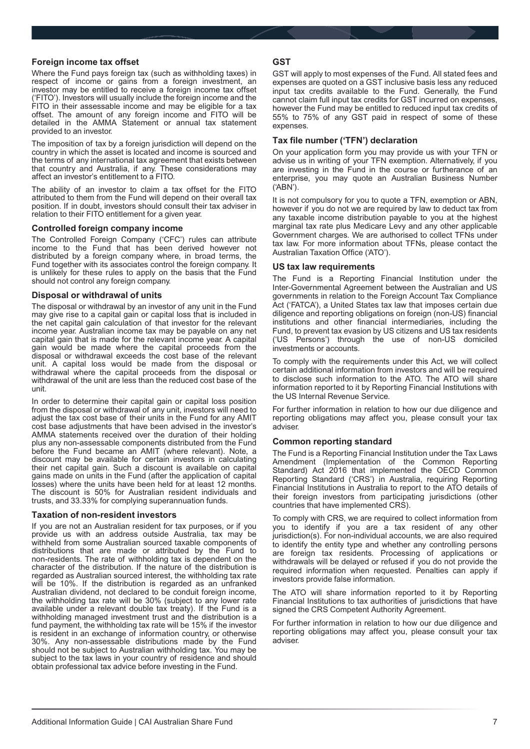### **Foreign income tax offset**

Where the Fund pays foreign tax (such as withholding taxes) in respect of income or gains from a foreign investment, an investor may be entitled to receive a foreign income tax offset ('FITO'). Investors will usually include the foreign income and the FITO in their assessable income and may be eligible for a tax offset. The amount of any foreign income and FITO will be detailed in the AMMA Statement or annual tax statement provided to an investor.

The imposition of tax by a foreign jurisdiction will depend on the country in which the asset is located and income is sourced and the terms of any international tax agreement that exists between that country and Australia, if any. These considerations may affect an investor's entitlement to a FITO.

The ability of an investor to claim a tax offset for the FITO attributed to them from the Fund will depend on their overall tax position. If in doubt, investors should consult their tax adviser in relation to their FITO entitlement for a given year.

### **Controlled foreign company income**

The Controlled Foreign Company ('CFC') rules can attribute income to the Fund that has been derived however not distributed by a foreign company where, in broad terms, the Fund together with its associates control the foreign company. It is unlikely for these rules to apply on the basis that the Fund should not control any foreign company.

### **Disposal or withdrawal of units**

The disposal or withdrawal by an investor of any unit in the Fund may give rise to a capital gain or capital loss that is included in the net capital gain calculation of that investor for the relevant income year. Australian income tax may be payable on any net capital gain that is made for the relevant income year. A capital gain would be made where the capital proceeds from the disposal or withdrawal exceeds the cost base of the relevant unit. A capital loss would be made from the disposal or withdrawal where the capital proceeds from the disposal or withdrawal of the unit are less than the reduced cost base of the unit.

In order to determine their capital gain or capital loss position from the disposal or withdrawal of any unit, investors will need to adjust the tax cost base of their units in the Fund for any AMIT cost base adjustments that have been advised in the investor's AMMA statements received over the duration of their holding plus any non-assessable components distributed from the Fund before the Fund became an AMIT (where relevant). Note, a discount may be available for certain investors in calculating their net capital gain. Such a discount is available on capital gains made on units in the Fund (after the application of capital losses) where the units have been held for at least 12 months. The discount is 50% for Australian resident individuals and trusts, and 33.33% for complying superannuation funds.

#### **Taxation of non-resident investors**

If you are not an Australian resident for tax purposes, or if you provide us with an address outside Australia, tax may be withheld from some Australian sourced taxable components of distributions that are made or attributed by the Fund to non-residents. The rate of withholding tax is dependent on the character of the distribution. If the nature of the distribution is regarded as Australian sourced interest, the withholding tax rate will be 10%. If the distribution is regarded as an unfranked Australian dividend, not declared to be conduit foreign income, the withholding tax rate will be 30% (subject to any lower rate available under a relevant double tax treaty). If the Fund is a withholding managed investment trust and the distribution is a fund payment, the withholding tax rate will be 15% if the investor is resident in an exchange of information country, or otherwise 30%. Any non-assessable distributions made by the Fund should not be subject to Australian withholding tax. You may be subject to the tax laws in your country of residence and should obtain professional tax advice before investing in the Fund.

### **GST**

GST will apply to most expenses of the Fund. All stated fees and expenses are quoted on a GST inclusive basis less any reduced input tax credits available to the Fund. Generally, the Fund cannot claim full input tax credits for GST incurred on expenses, however the Fund may be entitled to reduced input tax credits of 55% to 75% of any GST paid in respect of some of these expenses.

### **Tax file number ('TFN') declaration**

On your application form you may provide us with your TFN or advise us in writing of your TFN exemption. Alternatively, if you are investing in the Fund in the course or furtherance of an enterprise, you may quote an Australian Business Number ('ABN').

It is not compulsory for you to quote a TFN, exemption or ABN, however if you do not we are required by law to deduct tax from any taxable income distribution payable to you at the highest marginal tax rate plus Medicare Levy and any other applicable Government charges. We are authorised to collect TFNs under tax law. For more information about TFNs, please contact the Australian Taxation Office ('ATO').

### **US tax law requirements**

The Fund is a Reporting Financial Institution under the Inter-Governmental Agreement between the Australian and US governments in relation to the Foreign Account Tax Compliance Act ('FATCA'), a United States tax law that imposes certain due diligence and reporting obligations on foreign (non-US) financial institutions and other financial intermediaries, including the Fund, to prevent tax evasion by US citizens and US tax residents ('US Persons') through the use of non-US domiciled investments or accounts.

To comply with the requirements under this Act, we will collect certain additional information from investors and will be required to disclose such information to the ATO. The ATO will share information reported to it by Reporting Financial Institutions with the US Internal Revenue Service.

For further information in relation to how our due diligence and reporting obligations may affect you, please consult your tax adviser.

### **Common reporting standard**

The Fund is a Reporting Financial Institution under the Tax Laws Amendment (Implementation of the Common Reporting Standard) Act 2016 that implemented the OECD Common Reporting Standard ('CRS') in Australia, requiring Reporting Financial Institutions in Australia to report to the ATO details of their foreign investors from participating jurisdictions (other countries that have implemented CRS).

To comply with CRS, we are required to collect information from you to identify if you are a tax resident of any other jurisdiction(s). For non-individual accounts, we are also required to identify the entity type and whether any controlling persons are foreign tax residents. Processing of applications or withdrawals will be delayed or refused if you do not provide the required information when requested. Penalties can apply if investors provide false information.

The ATO will share information reported to it by Reporting Financial Institutions to tax authorities of jurisdictions that have signed the CRS Competent Authority Agreement.

For further information in relation to how our due diligence and reporting obligations may affect you, please consult your tax adviser.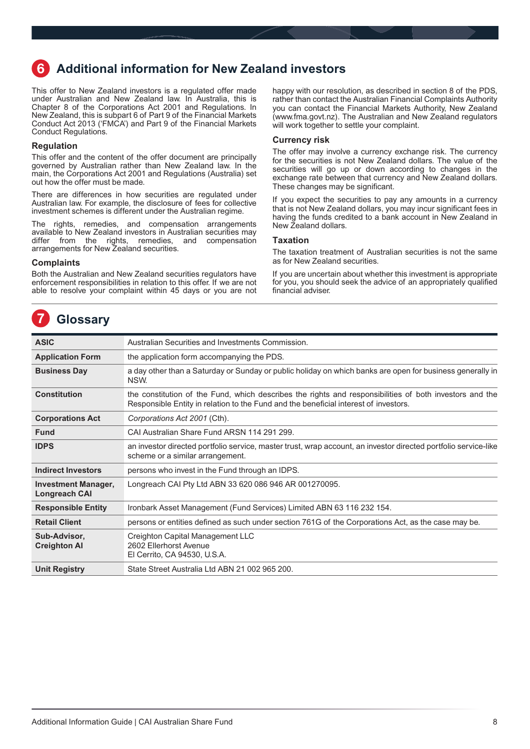## <span id="page-7-0"></span>**Additional information for New Zealand investors**

This offer to New Zealand investors is a regulated offer made under Australian and New Zealand law. In Australia, this is Chapter 8 of the Corporations Act 2001 and Regulations. In New Zealand, this is subpart 6 of Part 9 of the Financial Markets Conduct Act 2013 ('FMCA') and Part 9 of the Financial Markets Conduct Regulations.

### **Regulation**

This offer and the content of the offer document are principally governed by Australian rather than New Zealand law. In the main, the Corporations Act 2001 and Regulations (Australia) set out how the offer must be made.

There are differences in how securities are regulated under Australian law. For example, the disclosure of fees for collective investment schemes is different under the Australian regime.

The rights, remedies, and compensation arrangements available to New Zealand investors in Australian securities may differ from the rights, remedies, and compensation arrangements for New Zealand securities.

### **Complaints**

Both the Australian and New Zealand securities regulators have enforcement responsibilities in relation to this offer. If we are not able to resolve your complaint within 45 days or you are not

**Glossary**

happy with our resolution, as described in section 8 of the PDS, rather than contact the Australian Financial Complaints Authority you can contact the Financial Markets Authority, New Zealand (www.fma.govt.nz). The Australian and New Zealand regulators will work together to settle your complaint.

### **Currency risk**

The offer may involve a currency exchange risk. The currency for the securities is not New Zealand dollars. The value of the securities will go up or down according to changes in the exchange rate between that currency and New Zealand dollars. These changes may be significant.

If you expect the securities to pay any amounts in a currency that is not New Zealand dollars, you may incur significant fees in having the funds credited to a bank account in New Zealand in New Zealand dollars.

### **Taxation**

The taxation treatment of Australian securities is not the same as for New Zealand securities.

If you are uncertain about whether this investment is appropriate for you, you should seek the advice of an appropriately qualified financial adviser.

| <b>ASIC</b>                                 | Australian Securities and Investments Commission.                                                                                                                                               |  |  |
|---------------------------------------------|-------------------------------------------------------------------------------------------------------------------------------------------------------------------------------------------------|--|--|
| <b>Application Form</b>                     | the application form accompanying the PDS.                                                                                                                                                      |  |  |
| <b>Business Day</b>                         | a day other than a Saturday or Sunday or public holiday on which banks are open for business generally in<br>NSW.                                                                               |  |  |
| <b>Constitution</b>                         | the constitution of the Fund, which describes the rights and responsibilities of both investors and the<br>Responsible Entity in relation to the Fund and the beneficial interest of investors. |  |  |
| <b>Corporations Act</b>                     | Corporations Act 2001 (Cth).                                                                                                                                                                    |  |  |
| <b>Fund</b>                                 | CAI Australian Share Fund ARSN 114 291 299.                                                                                                                                                     |  |  |
| <b>IDPS</b>                                 | an investor directed portfolio service, master trust, wrap account, an investor directed portfolio service-like<br>scheme or a similar arrangement.                                             |  |  |
| <b>Indirect Investors</b>                   | persons who invest in the Fund through an IDPS.                                                                                                                                                 |  |  |
| <b>Investment Manager,</b><br>Longreach CAI | Longreach CAI Pty Ltd ABN 33 620 086 946 AR 001270095.                                                                                                                                          |  |  |
| <b>Responsible Entity</b>                   | Ironbark Asset Management (Fund Services) Limited ABN 63 116 232 154.                                                                                                                           |  |  |
| <b>Retail Client</b>                        | persons or entities defined as such under section 761G of the Corporations Act, as the case may be.                                                                                             |  |  |
| Sub-Advisor,<br><b>Creighton Al</b>         | Creighton Capital Management LLC<br>2602 Ellerhorst Avenue<br>El Cerrito, CA 94530, U.S.A.                                                                                                      |  |  |
| <b>Unit Registry</b>                        | State Street Australia Ltd ABN 21 002 965 200.                                                                                                                                                  |  |  |